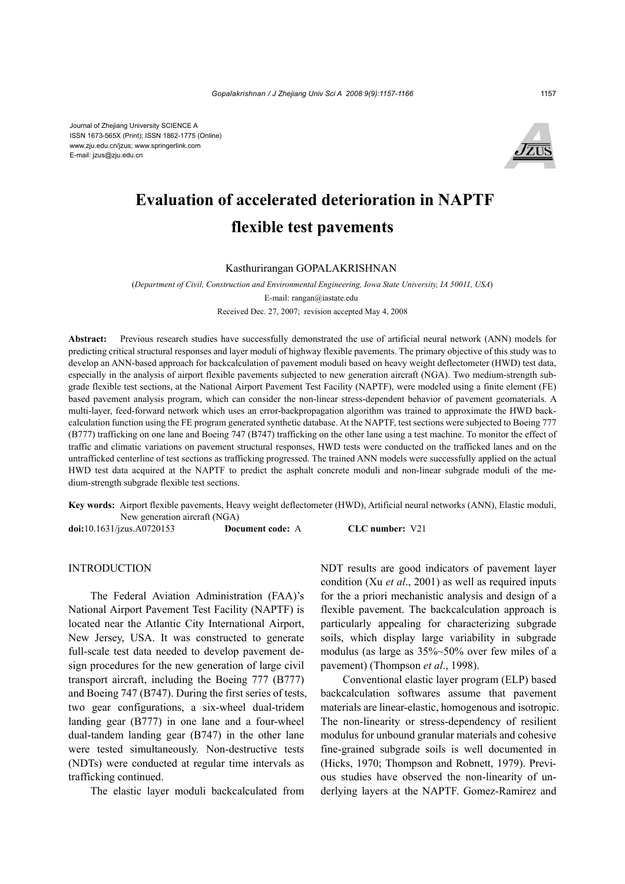Journal of Zhejiang University SCIENCE A ISSN 1673-565X (Print); ISSN 1862-1775 (Online) www.zju.edu.cn/jzus; www.springerlink.com E-mail: jzus@zju.edu.cn



# **Evaluation of accelerated deterioration in NAPTF flexible test pavements**

# Kasthurirangan GOPALAKRISHNAN

(*Department of Civil, Construction and Environmental Engineering, Iowa State University, IA 50011, USA*) E-mail: rangan@iastate.edu Received Dec. 27, 2007; revision accepted May 4, 2008

**Abstract:** Previous research studies have successfully demonstrated the use of artificial neural network (ANN) models for predicting critical structural responses and layer moduli of highway flexible pavements. The primary objective of this study was to develop an ANN-based approach for backcalculation of pavement moduli based on heavy weight deflectometer (HWD) test data, especially in the analysis of airport flexible pavements subjected to new generation aircraft (NGA). Two medium-strength subgrade flexible test sections, at the National Airport Pavement Test Facility (NAPTF), were modeled using a finite element (FE) based pavement analysis program, which can consider the non-linear stress-dependent behavior of pavement geomaterials. A multi-layer, feed-forward network which uses an error-backpropagation algorithm was trained to approximate the HWD backcalculation function using the FE program generated synthetic database. At the NAPTF, test sections were subjected to Boeing 777 (B777) trafficking on one lane and Boeing 747 (B747) trafficking on the other lane using a test machine. To monitor the effect of traffic and climatic variations on pavement structural responses, HWD tests were conducted on the trafficked lanes and on the untrafficked centerline of test sections as trafficking progressed. The trained ANN models were successfully applied on the actual HWD test data acquired at the NAPTF to predict the asphalt concrete moduli and non-linear subgrade moduli of the medium-strength subgrade flexible test sections.

**Key words:** Airport flexible pavements, Heavy weight deflectometer (HWD), Artificial neural networks (ANN), Elastic moduli, New generation aircraft (NGA)

**doi:**10.1631/jzus.A0720153 **Document code:** A **CLC number:** V21

INTRODUCTION

The Federal Aviation Administration (FAA)'s National Airport Pavement Test Facility (NAPTF) is located near the Atlantic City International Airport, New Jersey, USA. It was constructed to generate full-scale test data needed to develop pavement design procedures for the new generation of large civil transport aircraft, including the Boeing 777 (B777) and Boeing 747 (B747). During the first series of tests, two gear configurations, a six-wheel dual-tridem landing gear (B777) in one lane and a four-wheel dual-tandem landing gear (B747) in the other lane were tested simultaneously. Non-destructive tests (NDTs) were conducted at regular time intervals as trafficking continued.

The elastic layer moduli backcalculated from

NDT results are good indicators of pavement layer condition (Xu *et al*., 2001) as well as required inputs for the a priori mechanistic analysis and design of a flexible pavement. The backcalculation approach is particularly appealing for characterizing subgrade soils, which display large variability in subgrade modulus (as large as 35%~50% over few miles of a pavement) (Thompson *et al*., 1998).

Conventional elastic layer program (ELP) based backcalculation softwares assume that pavement materials are linear-elastic, homogenous and isotropic. The non-linearity or stress-dependency of resilient modulus for unbound granular materials and cohesive fine-grained subgrade soils is well documented in (Hicks, 1970; Thompson and Robnett, 1979). Previous studies have observed the non-linearity of underlying layers at the NAPTF. Gomez-Ramirez and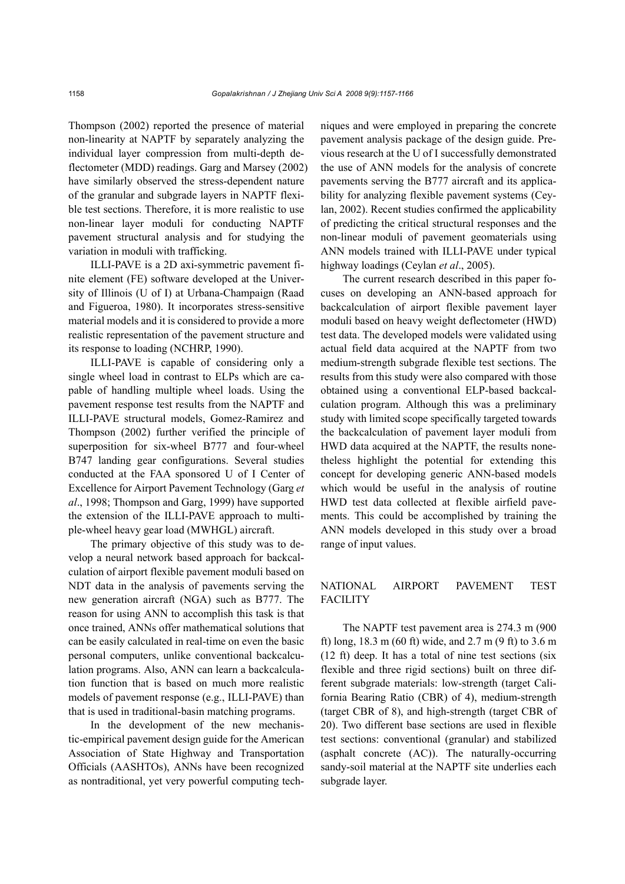Thompson (2002) reported the presence of material non-linearity at NAPTF by separately analyzing the individual layer compression from multi-depth deflectometer (MDD) readings. Garg and Marsey (2002) have similarly observed the stress-dependent nature of the granular and subgrade layers in NAPTF flexible test sections. Therefore, it is more realistic to use non-linear layer moduli for conducting NAPTF pavement structural analysis and for studying the variation in moduli with trafficking.

ILLI-PAVE is a 2D axi-symmetric pavement finite element (FE) software developed at the University of Illinois (U of I) at Urbana-Champaign (Raad and Figueroa, 1980). It incorporates stress-sensitive material models and it is considered to provide a more realistic representation of the pavement structure and its response to loading (NCHRP, 1990).

ILLI-PAVE is capable of considering only a single wheel load in contrast to ELPs which are capable of handling multiple wheel loads. Using the pavement response test results from the NAPTF and ILLI-PAVE structural models, Gomez-Ramirez and Thompson (2002) further verified the principle of superposition for six-wheel B777 and four-wheel B747 landing gear configurations. Several studies conducted at the FAA sponsored U of I Center of Excellence for Airport Pavement Technology (Garg *et al*., 1998; Thompson and Garg, 1999) have supported the extension of the ILLI-PAVE approach to multiple-wheel heavy gear load (MWHGL) aircraft.

The primary objective of this study was to develop a neural network based approach for backcalculation of airport flexible pavement moduli based on NDT data in the analysis of pavements serving the new generation aircraft (NGA) such as B777. The reason for using ANN to accomplish this task is that once trained, ANNs offer mathematical solutions that can be easily calculated in real-time on even the basic personal computers, unlike conventional backcalculation programs. Also, ANN can learn a backcalculation function that is based on much more realistic models of pavement response (e.g., ILLI-PAVE) than that is used in traditional-basin matching programs.

In the development of the new mechanistic-empirical pavement design guide for the American Association of State Highway and Transportation Officials (AASHTOs), ANNs have been recognized as nontraditional, yet very powerful computing techniques and were employed in preparing the concrete pavement analysis package of the design guide. Previous research at the U of I successfully demonstrated the use of ANN models for the analysis of concrete pavements serving the B777 aircraft and its applicability for analyzing flexible pavement systems (Ceylan, 2002). Recent studies confirmed the applicability of predicting the critical structural responses and the non-linear moduli of pavement geomaterials using ANN models trained with ILLI-PAVE under typical highway loadings (Ceylan *et al*., 2005).

The current research described in this paper focuses on developing an ANN-based approach for backcalculation of airport flexible pavement layer moduli based on heavy weight deflectometer (HWD) test data. The developed models were validated using actual field data acquired at the NAPTF from two medium-strength subgrade flexible test sections. The results from this study were also compared with those obtained using a conventional ELP-based backcalculation program. Although this was a preliminary study with limited scope specifically targeted towards the backcalculation of pavement layer moduli from HWD data acquired at the NAPTF, the results nonetheless highlight the potential for extending this concept for developing generic ANN-based models which would be useful in the analysis of routine HWD test data collected at flexible airfield pavements. This could be accomplished by training the ANN models developed in this study over a broad range of input values.

# NATIONAL AIRPORT PAVEMENT TEST FACILITY

The NAPTF test pavement area is 274.3 m (900 ft) long, 18.3 m (60 ft) wide, and 2.7 m (9 ft) to 3.6 m (12 ft) deep. It has a total of nine test sections (six flexible and three rigid sections) built on three different subgrade materials: low-strength (target California Bearing Ratio (CBR) of 4), medium-strength (target CBR of 8), and high-strength (target CBR of 20). Two different base sections are used in flexible test sections: conventional (granular) and stabilized (asphalt concrete (AC)). The naturally-occurring sandy-soil material at the NAPTF site underlies each subgrade layer.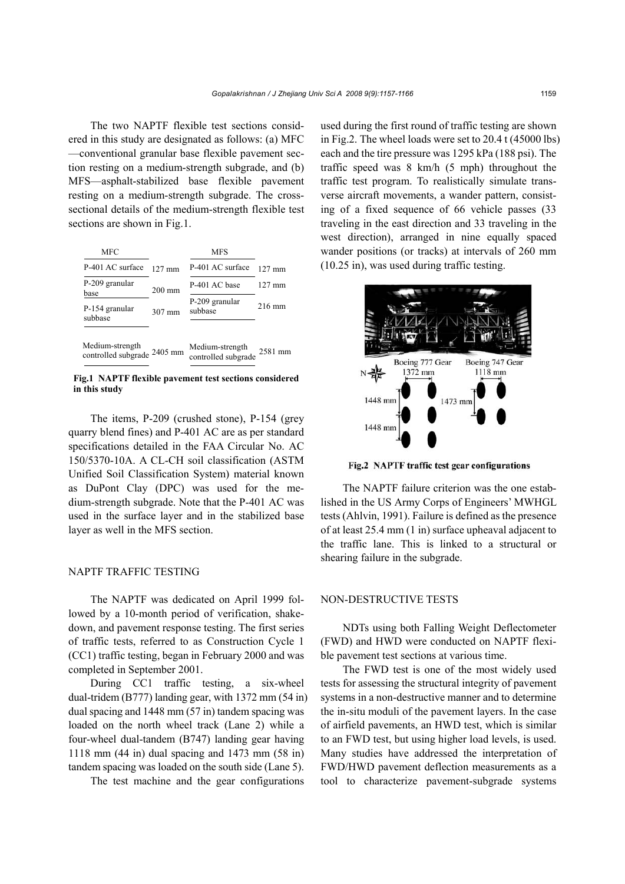The two NAPTF flexible test sections considered in this study are designated as follows: (a) MFC —conventional granular base flexible pavement section resting on a medium-strength subgrade, and (b) MFS—asphalt-stabilized base flexible pavement resting on a medium-strength subgrade. The crosssectional details of the medium-strength flexible test sections are shown in Fig.1.



**Fig.1 NAPTF flexible pavement test sections considered in this study** 

The items, P-209 (crushed stone), P-154 (grey quarry blend fines) and P-401 AC are as per standard specifications detailed in the FAA Circular No. AC 150/5370-10A. A CL-CH soil classification (ASTM Unified Soil Classification System) material known as DuPont Clay (DPC) was used for the medium-strength subgrade. Note that the P-401 AC was used in the surface layer and in the stabilized base layer as well in the MFS section.

# NAPTF TRAFFIC TESTING

The NAPTF was dedicated on April 1999 followed by a 10-month period of verification, shakedown, and pavement response testing. The first series of traffic tests, referred to as Construction Cycle 1 (CC1) traffic testing, began in February 2000 and was completed in September 2001.

During CC1 traffic testing, a six-wheel dual-tridem (B777) landing gear, with 1372 mm (54 in) dual spacing and 1448 mm (57 in) tandem spacing was loaded on the north wheel track (Lane 2) while a four-wheel dual-tandem (B747) landing gear having 1118 mm (44 in) dual spacing and 1473 mm (58 in) tandem spacing was loaded on the south side (Lane 5).

The test machine and the gear configurations

used during the first round of traffic testing are shown in Fig.2. The wheel loads were set to 20.4 t (45000 lbs) each and the tire pressure was 1295 kPa (188 psi). The traffic speed was 8 km/h (5 mph) throughout the traffic test program. To realistically simulate transverse aircraft movements, a wander pattern, consisting of a fixed sequence of 66 vehicle passes (33 traveling in the east direction and 33 traveling in the west direction), arranged in nine equally spaced wander positions (or tracks) at intervals of 260 mm (10.25 in), was used during traffic testing.



**Fig.2 NAPTF traffic test gear configurations**

The NAPTF failure criterion was the one established in the US Army Corps of Engineers' MWHGL tests (Ahlvin, 1991). Failure is defined as the presence of at least 25.4 mm (1 in) surface upheaval adjacent to the traffic lane. This is linked to a structural or shearing failure in the subgrade.

# NON-DESTRUCTIVE TESTS

NDTs using both Falling Weight Deflectometer (FWD) and HWD were conducted on NAPTF flexible pavement test sections at various time.

The FWD test is one of the most widely used tests for assessing the structural integrity of pavement systems in a non-destructive manner and to determine the in-situ moduli of the pavement layers. In the case of airfield pavements, an HWD test, which is similar to an FWD test, but using higher load levels, is used. Many studies have addressed the interpretation of FWD/HWD pavement deflection measurements as a tool to characterize pavement-subgrade systems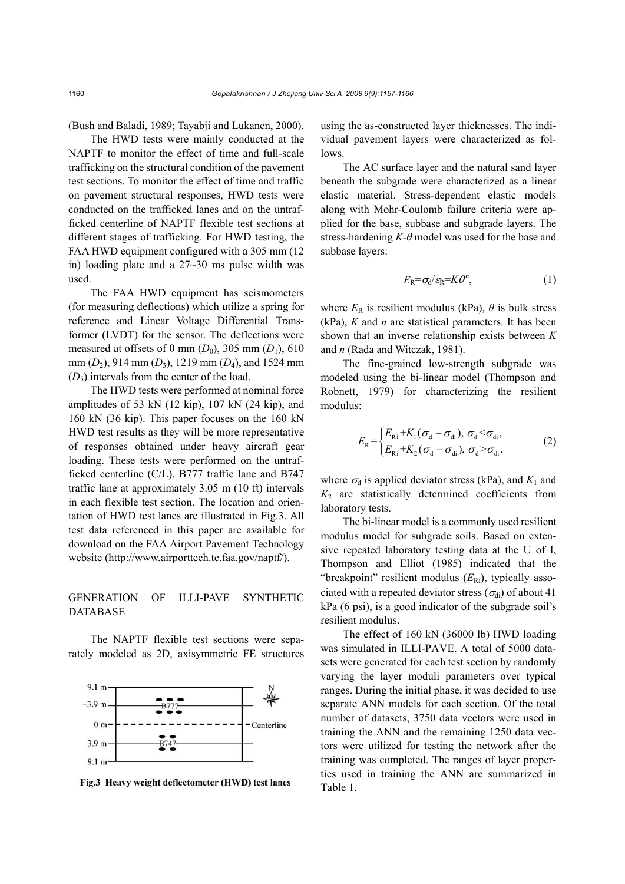(Bush and Baladi, 1989; Tayabji and Lukanen, 2000).

The HWD tests were mainly conducted at the NAPTF to monitor the effect of time and full-scale trafficking on the structural condition of the pavement test sections. To monitor the effect of time and traffic on pavement structural responses, HWD tests were conducted on the trafficked lanes and on the untrafficked centerline of NAPTF flexible test sections at different stages of trafficking. For HWD testing, the FAA HWD equipment configured with a 305 mm (12 in) loading plate and a 27~30 ms pulse width was used.

The FAA HWD equipment has seismometers (for measuring deflections) which utilize a spring for reference and Linear Voltage Differential Transformer (LVDT) for the sensor. The deflections were measured at offsets of 0 mm  $(D_0)$ , 305 mm  $(D_1)$ , 610 mm (*D*2), 914 mm (*D*3), 1219 mm (*D*4), and 1524 mm  $(D_5)$  intervals from the center of the load.

The HWD tests were performed at nominal force amplitudes of 53 kN (12 kip), 107 kN (24 kip), and 160 kN (36 kip). This paper focuses on the 160 kN HWD test results as they will be more representative of responses obtained under heavy aircraft gear loading. These tests were performed on the untrafficked centerline (C/L), B777 traffic lane and B747 traffic lane at approximately 3.05 m (10 ft) intervals in each flexible test section. The location and orientation of HWD test lanes are illustrated in Fig.3. All test data referenced in this paper are available for download on the FAA Airport Pavement Technology website (http://www.airporttech.tc.faa.gov/naptf/).

# GENERATION OF ILLI-PAVE SYNTHETIC DATABASE

The NAPTF flexible test sections were separately modeled as 2D, axisymmetric FE structures



Fig.3 Heavy weight deflectometer (HWD) test lanes

using the as-constructed layer thicknesses. The individual pavement layers were characterized as follows.

The AC surface layer and the natural sand layer beneath the subgrade were characterized as a linear elastic material. Stress-dependent elastic models along with Mohr-Coulomb failure criteria were applied for the base, subbase and subgrade layers. The stress-hardening *K*-*θ* model was used for the base and subbase layers:

$$
E_{\rm R} = \sigma_{\rm d}/\varepsilon_{\rm R} = K\theta^n, \tag{1}
$$

where  $E_R$  is resilient modulus (kPa),  $\theta$  is bulk stress (kPa), *K* and *n* are statistical parameters. It has been shown that an inverse relationship exists between *K* and *n* (Rada and Witczak, 1981).

The fine-grained low-strength subgrade was modeled using the bi-linear model (Thompson and Robnett, 1979) for characterizing the resilient modulus:

$$
E_{\rm R} = \begin{cases} E_{\rm Ri} + K_1(\sigma_{\rm d} - \sigma_{\rm di}), & \sigma_{\rm d} < \sigma_{\rm di}, \\ E_{\rm Ri} + K_2(\sigma_{\rm d} - \sigma_{\rm di}), & \sigma_{\rm d} > \sigma_{\rm di}, \end{cases}
$$
 (2)

where  $\sigma_d$  is applied deviator stress (kPa), and  $K_1$  and *K*2 are statistically determined coefficients from laboratory tests.

The bi-linear model is a commonly used resilient modulus model for subgrade soils. Based on extensive repeated laboratory testing data at the U of I, Thompson and Elliot (1985) indicated that the "breakpoint" resilient modulus ( $E_{\text{Ri}}$ ), typically associated with a repeated deviator stress ( $\sigma_{di}$ ) of about 41 kPa (6 psi), is a good indicator of the subgrade soil's resilient modulus.

The effect of 160 kN (36000 lb) HWD loading was simulated in ILLI-PAVE. A total of 5000 datasets were generated for each test section by randomly varying the layer moduli parameters over typical ranges. During the initial phase, it was decided to use separate ANN models for each section. Of the total number of datasets, 3750 data vectors were used in training the ANN and the remaining 1250 data vectors were utilized for testing the network after the training was completed. The ranges of layer properties used in training the ANN are summarized in Table 1.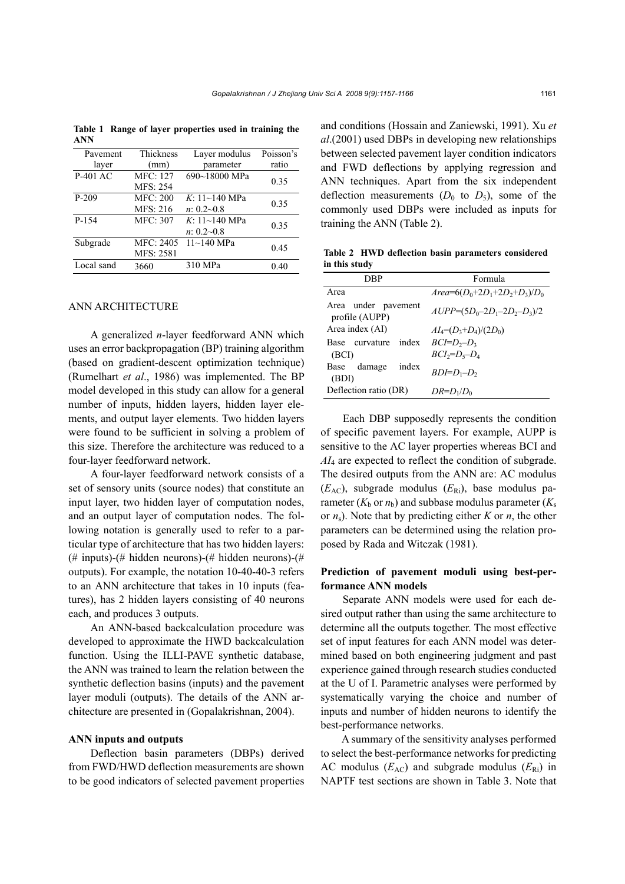**Table 1 Range of layer properties used in training the ANN** 

| Pavement   | <b>Thickness</b> | Layer modulus        | Poisson's |  |
|------------|------------------|----------------------|-----------|--|
| layer      | (mm)             | parameter            | ratio     |  |
| P-401 AC   | <b>MFC: 127</b>  | 690~18000 MPa        |           |  |
|            | MFS: 254         |                      | 0.35      |  |
| $P-209$    | <b>MFC: 200</b>  | K: $11~140$ MPa      | 0.35      |  |
|            | MFS: 216         | n: 0.2~0.8           |           |  |
| P-154      | <b>MFC: 307</b>  | K: $11 \sim 140$ MPa | 0.35      |  |
|            |                  | n: 0.2~0.8           |           |  |
| Subgrade   | MFC: 2405        | $11~140$ MPa         |           |  |
|            | MFS: 2581        |                      | 0.45      |  |
| Local sand | 3660             | 310 MPa              | 0.40      |  |
|            |                  |                      |           |  |

#### ANN ARCHITECTURE

A generalized *n*-layer feedforward ANN which uses an error backpropagation (BP) training algorithm (based on gradient-descent optimization technique) (Rumelhart *et al*., 1986) was implemented. The BP model developed in this study can allow for a general number of inputs, hidden layers, hidden layer elements, and output layer elements. Two hidden layers were found to be sufficient in solving a problem of this size. Therefore the architecture was reduced to a four-layer feedforward network.

A four-layer feedforward network consists of a set of sensory units (source nodes) that constitute an input layer, two hidden layer of computation nodes, and an output layer of computation nodes. The following notation is generally used to refer to a particular type of architecture that has two hidden layers: (# inputs)-(# hidden neurons)-(# hidden neurons)-(# outputs). For example, the notation 10-40-40-3 refers to an ANN architecture that takes in 10 inputs (features), has 2 hidden layers consisting of 40 neurons each, and produces 3 outputs.

An ANN-based backcalculation procedure was developed to approximate the HWD backcalculation function. Using the ILLI-PAVE synthetic database, the ANN was trained to learn the relation between the synthetic deflection basins (inputs) and the pavement layer moduli (outputs). The details of the ANN architecture are presented in (Gopalakrishnan, 2004).

#### **ANN inputs and outputs**

Deflection basin parameters (DBPs) derived from FWD/HWD deflection measurements are shown to be good indicators of selected pavement properties and conditions (Hossain and Zaniewski, 1991). Xu *et al*.(2001) used DBPs in developing new relationships between selected pavement layer condition indicators and FWD deflections by applying regression and ANN techniques. Apart from the six independent deflection measurements  $(D_0$  to  $D_5$ ), some of the commonly used DBPs were included as inputs for training the ANN (Table 2).

**Table 2 HWD deflection basin parameters considered in this study** 

| DBP                                   | Formula                         |  |  |
|---------------------------------------|---------------------------------|--|--|
| Area                                  | $Area=6(D_0+2D_1+2D_2+D_3)/D_0$ |  |  |
| Area under pavement<br>profile (AUPP) | $AUPP=(5D_0-2D_1-2D_2-D_3)/2$   |  |  |
| Area index (AI)                       | $AI_4=(D_3+D_4)/(2D_0)$         |  |  |
| index<br>curvature<br>Base            | $BCI=D_2-D_3$                   |  |  |
| (BCI)                                 | $BCI_2=D_5-D_4$                 |  |  |
| index<br>damage<br>Base<br>(BDI)      | $BDI=D_1-D_2$                   |  |  |
| Deflection ratio (DR)                 | $DR=D_1/D_0$                    |  |  |

Each DBP supposedly represents the condition of specific pavement layers. For example, AUPP is sensitive to the AC layer properties whereas BCI and *AI*4 are expected to reflect the condition of subgrade. The desired outputs from the ANN are: AC modulus  $(E_{AC})$ , subgrade modulus  $(E_{Ri})$ , base modulus parameter  $(K_b$  or  $n_b$ ) and subbase modulus parameter  $(K_s)$ or *n*s). Note that by predicting either *K* or *n*, the other parameters can be determined using the relation proposed by Rada and Witczak (1981).

# **Prediction of pavement moduli using best-performance ANN models**

Separate ANN models were used for each desired output rather than using the same architecture to determine all the outputs together. The most effective set of input features for each ANN model was determined based on both engineering judgment and past experience gained through research studies conducted at the U of I. Parametric analyses were performed by systematically varying the choice and number of inputs and number of hidden neurons to identify the best-performance networks.

A summary of the sensitivity analyses performed to select the best-performance networks for predicting AC modulus  $(E_{AC})$  and subgrade modulus  $(E_{Ri})$  in NAPTF test sections are shown in Table 3. Note that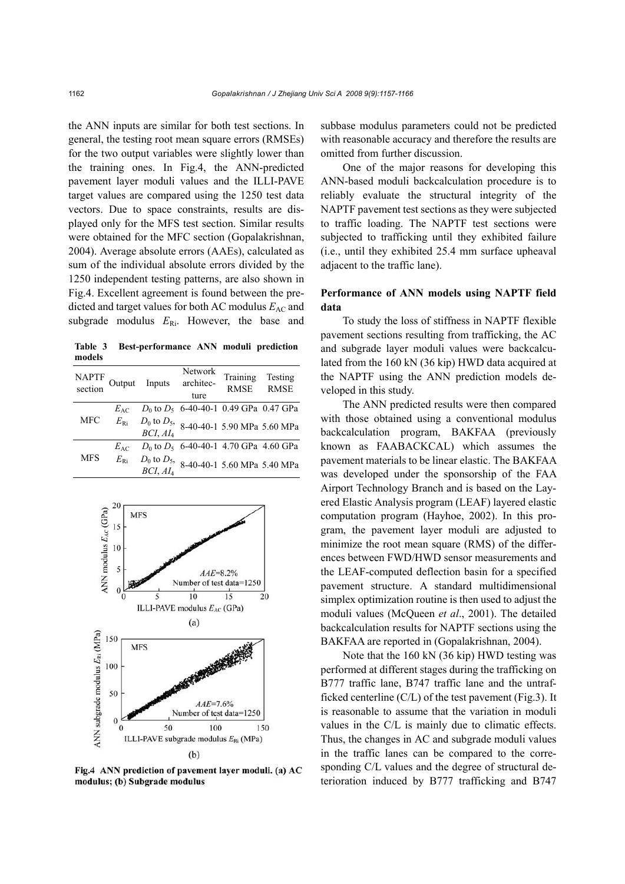the ANN inputs are similar for both test sections. In general, the testing root mean square errors (RMSEs) for the two output variables were slightly lower than the training ones. In Fig.4, the ANN-predicted pavement layer moduli values and the ILLI-PAVE target values are compared using the 1250 test data vectors. Due to space constraints, results are displayed only for the MFS test section. Similar results were obtained for the MFC section (Gopalakrishnan, 2004). Average absolute errors (AAEs), calculated as sum of the individual absolute errors divided by the 1250 independent testing patterns, are also shown in Fig.4. Excellent agreement is found between the predicted and target values for both AC modulus  $E_{AC}$  and subgrade modulus  $E_{\text{Ri}}$ . However, the base and

**Table 3 Best-performance ANN moduli prediction models** 

| NAPTF<br>section |              | Output Inputs | Network<br>architec-<br>ture                                | Training<br>RMSE RMSE | Testing |
|------------------|--------------|---------------|-------------------------------------------------------------|-----------------------|---------|
| <b>MFC</b>       | $E_{AC}$     |               | $D_0$ to $D_5$ 6-40-40-1 0.49 GPa 0.47 GPa                  |                       |         |
|                  | $E_{\rm Ri}$ |               | $D_0$ to $D_5$ , 8-40-40-1 5.90 MPa 5.60 MPa<br>BCI, $AI_4$ |                       |         |
| <b>MFS</b>       | $E_{AC}$     |               | $D_0$ to $D_5$ 6-40-40-1 4.70 GPa 4.60 GPa                  |                       |         |
|                  | $E_{\rm Ri}$ |               | $D_0$ to $D_5$ , 8-40-40-1 5.60 MPa 5.40 MPa<br>BCI, $AI_4$ |                       |         |



Fig.4 ANN prediction of pavement layer moduli. (a) AC modulus; (b) Subgrade modulus

subbase modulus parameters could not be predicted with reasonable accuracy and therefore the results are omitted from further discussion.

One of the major reasons for developing this ANN-based moduli backcalculation procedure is to reliably evaluate the structural integrity of the NAPTF pavement test sections as they were subjected to traffic loading. The NAPTF test sections were subjected to trafficking until they exhibited failure (i.e., until they exhibited 25.4 mm surface upheaval adjacent to the traffic lane).

# **Performance of ANN models using NAPTF field data**

To study the loss of stiffness in NAPTF flexible pavement sections resulting from trafficking, the AC and subgrade layer moduli values were backcalculated from the 160 kN (36 kip) HWD data acquired at the NAPTF using the ANN prediction models developed in this study.

The ANN predicted results were then compared with those obtained using a conventional modulus backcalculation program, BAKFAA (previously known as FAABACKCAL) which assumes the pavement materials to be linear elastic. The BAKFAA was developed under the sponsorship of the FAA Airport Technology Branch and is based on the Layered Elastic Analysis program (LEAF) layered elastic computation program (Hayhoe, 2002). In this program, the pavement layer moduli are adjusted to minimize the root mean square (RMS) of the differences between FWD/HWD sensor measurements and the LEAF-computed deflection basin for a specified pavement structure. A standard multidimensional simplex optimization routine is then used to adjust the moduli values (McQueen *et al*., 2001). The detailed backcalculation results for NAPTF sections using the BAKFAA are reported in (Gopalakrishnan, 2004).

Note that the 160 kN (36 kip) HWD testing was performed at different stages during the trafficking on B777 traffic lane, B747 traffic lane and the untrafficked centerline (C/L) of the test pavement (Fig.3). It is reasonable to assume that the variation in moduli values in the C/L is mainly due to climatic effects. Thus, the changes in AC and subgrade moduli values in the traffic lanes can be compared to the corresponding C/L values and the degree of structural deterioration induced by B777 trafficking and B747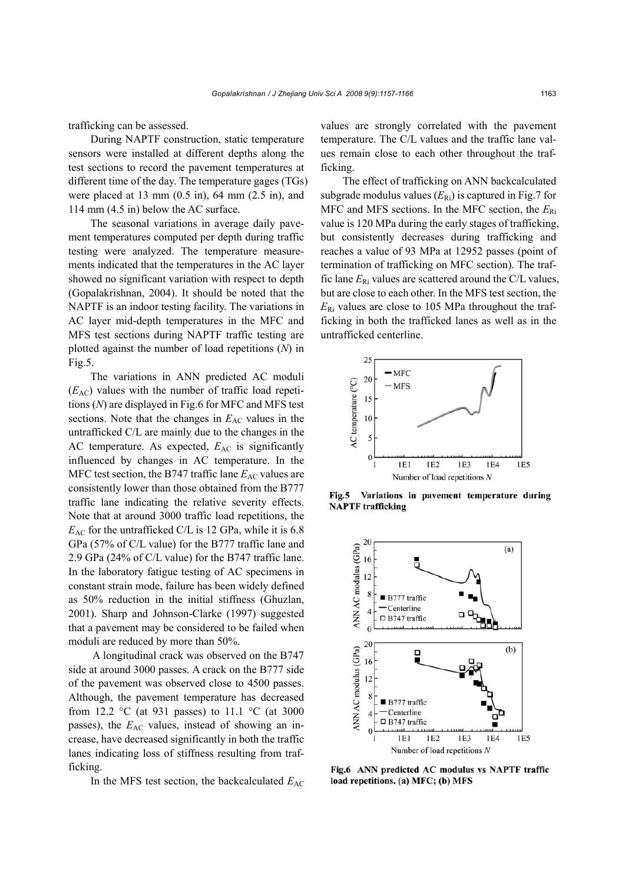trafficking can be assessed.

During NAPTF construction, static temperature sensors were installed at different depths along the test sections to record the pavement temperatures at different time of the day. The temperature gages (TGs) were placed at 13 mm  $(0.5 \text{ in})$ , 64 mm  $(2.5 \text{ in})$ , and 114 mm (4.5 in) below the AC surface.

The seasonal variations in average daily pavement temperatures computed per depth during traffic testing were analyzed. The temperature measurements indicated that the temperatures in the AC layer showed no significant variation with respect to depth (Gopalakrishnan, 2004). It should be noted that the NAPTF is an indoor testing facility. The variations in AC layer mid-depth temperatures in the MFC and MFS test sections during NAPTF traffic testing are plotted against the number of load repetitions (*N*) in Fig.5.

The variations in ANN predicted AC moduli  $(E<sub>AC</sub>)$  values with the number of traffic load repetitions (*N*) are displayed in Fig.6 for MFC and MFS test sections. Note that the changes in  $E_{AC}$  values in the untrafficked C/L are mainly due to the changes in the AC temperature. As expected,  $E_{AC}$  is significantly influenced by changes in AC temperature. In the MFC test section, the B747 traffic lane  $E_{AC}$  values are consistently lower than those obtained from the B777 traffic lane indicating the relative severity effects. Note that at around 3000 traffic load repetitions, the *E*<sub>AC</sub> for the untrafficked C/L is 12 GPa, while it is 6.8 GPa (57% of C/L value) for the B777 traffic lane and 2.9 GPa (24% of C/L value) for the B747 traffic lane. In the laboratory fatigue testing of AC specimens in constant strain mode, failure has been widely defined as 50% reduction in the initial stiffness (Ghuzlan, 2001). Sharp and Johnson-Clarke (1997) suggested that a pavement may be considered to be failed when moduli are reduced by more than 50%.

 A longitudinal crack was observed on the B747 side at around 3000 passes. A crack on the B777 side of the pavement was observed close to 4500 passes. Although, the pavement temperature has decreased from 12.2 °C (at 931 passes) to 11.1 °C (at 3000 passes), the  $E_{AC}$  values, instead of showing an increase, have decreased significantly in both the traffic lanes indicating loss of stiffness resulting from trafficking.

In the MFS test section, the backcalculated  $E_{AC}$ 

values are strongly correlated with the pavement temperature. The C/L values and the traffic lane values remain close to each other throughout the trafficking.

The effect of trafficking on ANN backcalculated subgrade modulus values  $(E_{\text{Ri}})$  is captured in Fig.7 for MFC and MFS sections. In the MFC section, the *E*Ri value is 120 MPa during the early stages of trafficking, but consistently decreases during trafficking and reaches a value of 93 MPa at 12952 passes (point of termination of trafficking on MFC section). The traffic lane  $E_{\text{Ri}}$  values are scattered around the C/L values, but are close to each other. In the MFS test section, the  $E_{\text{Ri}}$  values are close to 105 MPa throughout the trafficking in both the trafficked lanes as well as in the untrafficked centerline.



Fig.5 Variations in pavement temperature during **NAPTF** trafficking



Fig.6 ANN predicted AC modulus vs NAPTF traffic load repetitions. (a) MFC; (b) MFS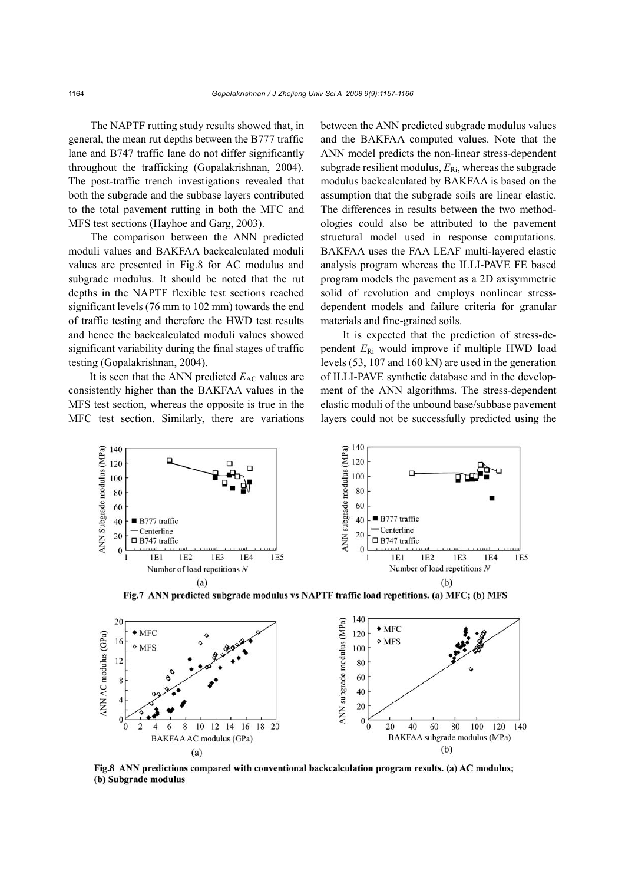The NAPTF rutting study results showed that, in general, the mean rut depths between the B777 traffic lane and B747 traffic lane do not differ significantly throughout the trafficking (Gopalakrishnan, 2004). The post-traffic trench investigations revealed that both the subgrade and the subbase layers contributed to the total pavement rutting in both the MFC and MFS test sections (Hayhoe and Garg, 2003).

The comparison between the ANN predicted moduli values and BAKFAA backcalculated moduli values are presented in Fig.8 for AC modulus and subgrade modulus. It should be noted that the rut depths in the NAPTF flexible test sections reached significant levels (76 mm to 102 mm) towards the end of traffic testing and therefore the HWD test results and hence the backcalculated moduli values showed significant variability during the final stages of traffic testing (Gopalakrishnan, 2004).

It is seen that the ANN predicted  $E_{AC}$  values are consistently higher than the BAKFAA values in the MFS test section, whereas the opposite is true in the MFC test section. Similarly, there are variations between the ANN predicted subgrade modulus values and the BAKFAA computed values. Note that the ANN model predicts the non-linear stress-dependent subgrade resilient modulus,  $E_{\text{Ri}}$ , whereas the subgrade modulus backcalculated by BAKFAA is based on the assumption that the subgrade soils are linear elastic. The differences in results between the two methodologies could also be attributed to the pavement structural model used in response computations. BAKFAA uses the FAA LEAF multi-layered elastic analysis program whereas the ILLI-PAVE FE based program models the pavement as a 2D axisymmetric solid of revolution and employs nonlinear stressdependent models and failure criteria for granular materials and fine-grained soils.

It is expected that the prediction of stress-dependent  $E_{\text{R}i}$  would improve if multiple HWD load levels (53, 107 and 160 kN) are used in the generation of ILLI-PAVE synthetic database and in the development of the ANN algorithms. The stress-dependent elastic moduli of the unbound base/subbase pavement layers could not be successfully predicted using the



Fig.7 ANN predicted subgrade modulus vs NAPTF traffic load repetitions. (a) MFC; (b) MFS



Fig.8 ANN predictions compared with conventional backcalculation program results. (a) AC modulus; (b) Subgrade modulus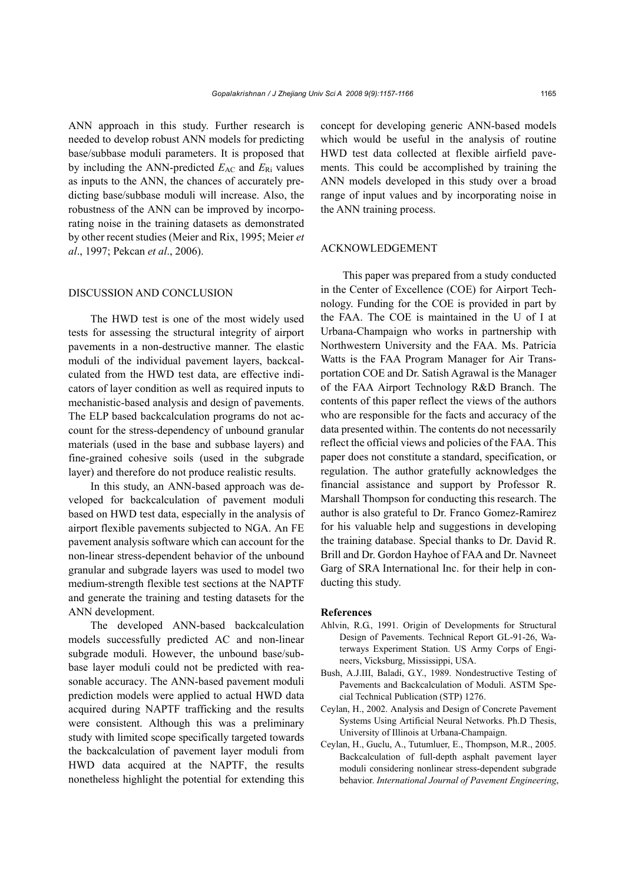ANN approach in this study. Further research is needed to develop robust ANN models for predicting base/subbase moduli parameters. It is proposed that by including the ANN-predicted  $E_{AC}$  and  $E_{Ri}$  values as inputs to the ANN, the chances of accurately predicting base/subbase moduli will increase. Also, the robustness of the ANN can be improved by incorporating noise in the training datasets as demonstrated by other recent studies (Meier and Rix, 1995; Meier *et al*., 1997; Pekcan *et al*., 2006).

# DISCUSSION AND CONCLUSION

The HWD test is one of the most widely used tests for assessing the structural integrity of airport pavements in a non-destructive manner. The elastic moduli of the individual pavement layers, backcalculated from the HWD test data, are effective indicators of layer condition as well as required inputs to mechanistic-based analysis and design of pavements. The ELP based backcalculation programs do not account for the stress-dependency of unbound granular materials (used in the base and subbase layers) and fine-grained cohesive soils (used in the subgrade layer) and therefore do not produce realistic results.

In this study, an ANN-based approach was developed for backcalculation of pavement moduli based on HWD test data, especially in the analysis of airport flexible pavements subjected to NGA. An FE pavement analysis software which can account for the non-linear stress-dependent behavior of the unbound granular and subgrade layers was used to model two medium-strength flexible test sections at the NAPTF and generate the training and testing datasets for the ANN development.

The developed ANN-based backcalculation models successfully predicted AC and non-linear subgrade moduli. However, the unbound base/subbase layer moduli could not be predicted with reasonable accuracy. The ANN-based pavement moduli prediction models were applied to actual HWD data acquired during NAPTF trafficking and the results were consistent. Although this was a preliminary study with limited scope specifically targeted towards the backcalculation of pavement layer moduli from HWD data acquired at the NAPTF, the results nonetheless highlight the potential for extending this concept for developing generic ANN-based models which would be useful in the analysis of routine HWD test data collected at flexible airfield pavements. This could be accomplished by training the ANN models developed in this study over a broad range of input values and by incorporating noise in the ANN training process.

# ACKNOWLEDGEMENT

This paper was prepared from a study conducted in the Center of Excellence (COE) for Airport Technology. Funding for the COE is provided in part by the FAA. The COE is maintained in the U of I at Urbana-Champaign who works in partnership with Northwestern University and the FAA. Ms. Patricia Watts is the FAA Program Manager for Air Transportation COE and Dr. Satish Agrawal is the Manager of the FAA Airport Technology R&D Branch. The contents of this paper reflect the views of the authors who are responsible for the facts and accuracy of the data presented within. The contents do not necessarily reflect the official views and policies of the FAA. This paper does not constitute a standard, specification, or regulation. The author gratefully acknowledges the financial assistance and support by Professor R. Marshall Thompson for conducting this research. The author is also grateful to Dr. Franco Gomez-Ramirez for his valuable help and suggestions in developing the training database. Special thanks to Dr. David R. Brill and Dr. Gordon Hayhoe of FAA and Dr. Navneet Garg of SRA International Inc. for their help in conducting this study.

# **References**

- Ahlvin, R.G., 1991. Origin of Developments for Structural Design of Pavements. Technical Report GL-91-26, Waterways Experiment Station. US Army Corps of Engineers, Vicksburg, Mississippi, USA.
- Bush, A.J.III, Baladi, G.Y., 1989. Nondestructive Testing of Pavements and Backcalculation of Moduli. ASTM Special Technical Publication (STP) 1276.
- Ceylan, H., 2002. Analysis and Design of Concrete Pavement Systems Using Artificial Neural Networks. Ph.D Thesis, University of Illinois at Urbana-Champaign.
- Ceylan, H., Guclu, A., Tutumluer, E., Thompson, M.R., 2005. Backcalculation of full-depth asphalt pavement layer moduli considering nonlinear stress-dependent subgrade behavior. *International Journal of Pavement Engineering*,